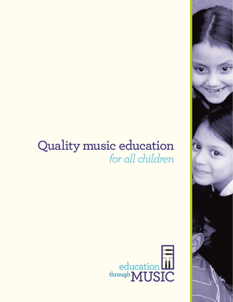# **Quality music education** *for all children*



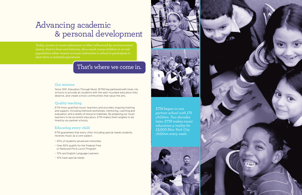#### **Our mission**

Since 1991, Education Through Music (ETM) has partnered with inner-city schools to provide all students with the well-rounded education they deserve, and create school communities that value the arts.

#### **Quality teaching**

ETM hires qualified music teachers and provides ongoing training and support, including intensive workshops, mentoring, coaching and evaluation, and a variety of resource materials. By preparing our music teachers to be excellent educators, ETM makes them eligible to be hired by our partner schools.

### **Educating every child**

ETM guarantees that every child, including special needs students, receives music as a core subject.

- 95% of students served are minorities
- Over 80% qualify for the Federal Free or Reduced-Price Lunch Program
- 10% are English Language Learners
- 10% have special needs

# Advancing academic & personal development

*Today, access to music education is often influenced by socioeconomic status, district lines and lotteries. As a result, many children in at-risk populations either receive no music instruction in school or participate in short-term or isolated experiences.* 

## That's where we come in.





*ETM began in one partner school with 175 children. Two decades later, ETM makes music education a reality for 13,000 New York City children every week.*

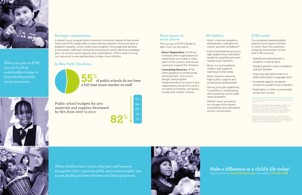- Direct Replication-ETM has licensed other organizations to implement our model in other parts of the country, and we are looking to expand this initiative.
- Consulting Services-ETM offers guidance in professional development, curriculum design, and program implementation to schools and organizations across the country, including orchestras, and public, private and charter schools.

#### **More music in more places**

The success of ETM's Model in New York City has led to:

• Music improves academic achievement, motivation for school, and self-confidence.<sup>2</sup>

• Every child deserves access to high-quality music education, taught by qualified and well-

• Strong principal leadership is essential to establishing and sustaining school-wide

55% of public schools do not have a full-time music teacher on staff



- 
- trained music teachers.
- • Music is a core academic subject that supports learning in other areas.
- • Music teachers deserve high-quality support and professional development.
- music programs.
- • Vibrant music programs encourage active parent school communities.

involvement and strengthen

### **Make a difference in a child's life today!**

*Donate online at:* www.ETMonline.org *or by calling:* 212.972.4788

#### **In New York City alone...**



Public school budgets for arts materials and supplies decreased by 82% from 2007 to 2011**<sup>1</sup>**



 $'07$ 

#### **ETM works**

Our programs develop better learners and inspire children to reach their full potential. Ongoing assessment shows that ETM achieves:

- • Significant improvement in students' musical skills
- Student growth in self-confidence and self-esteem
- Improved test performance in Math and English Language Arts<sup>3</sup>
- Increased capacity of partner schools to sustain music programs
- Replication in other communities across the country

#### **Stronger communities**

A vibrant music program gives the entire community reason to feel proud. That's why ETM collaborates closely with each partner school principal to establish a quality, school-wide music program; encourage and develop active parent, staff and community involvement; and to develop a strategic plan. As schools build capacity and sustainability, ETM is able to bring our resources to new partnerships to help more children.

*When children learn music, they gain self-esteem, strengthen their cognitive skills, and achieve higher test scores, leading to better thinkers and lifelong learners.*



*When you give to ETM, you are funding sustainable change in how schools provide music education.*



**<sup>1</sup>** New York City Department of Education's Annual Arts in Schools Report, 2010-11.

**<sup>2</sup>** Critical Links: Learning in the Arts and Student Academic and Social Development (2002. Arts Education Partnership), Champions of Change: The Impact of the Arts on Learning (Ed. Edward B. Fiske. 1999. President's Committee on the Arts and the Humanities and the Arts Education Partnership).

**<sup>3</sup>**Scheuler, Leslie, PhD, LS Associates, "Measure by Measure: Developing the Whole Child Through the ETM® Music Education Model" 2005-08 U.S. Department of Education Arts in Education Model Development and Dissemination Project.